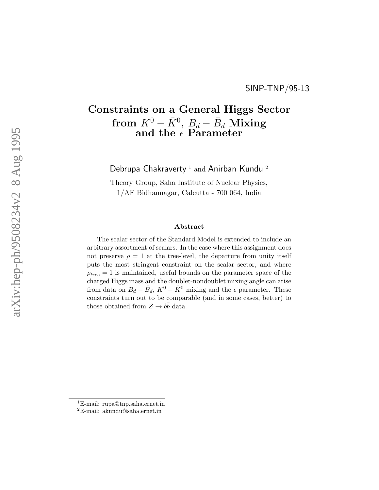## Constraints on a General Higgs Sector from  $K^0 - \bar{K}^0$ ,  $B_d - \bar{B}_d$  Mixing and the  $\epsilon$  Parameter

Debrupa Chakraverty<sup>1</sup> and Anirban Kundu<sup>2</sup>

Theory Group, Saha Institute of Nuclear Physics, 1/AF Bidhannagar, Calcutta - 700 064, India

## Abstract

The scalar sector of the Standard Model is extended to include an arbitrary assortment of scalars. In the case where this assignment does not preserve  $\rho = 1$  at the tree-level, the departure from unity itself puts the most stringent constraint on the scalar sector, and where  $\rho_{tree} = 1$  is maintained, useful bounds on the parameter space of the charged Higgs mass and the doublet-nondoublet mixing angle can arise from data on  $B_d - \bar{B}_d$ ,  $K^0 - \bar{K}^0$  mixing and the  $\epsilon$  parameter. These constraints turn out to be comparable (and in some cases, better) to those obtained from  $Z \to b\bar{b}$  data.

<sup>1</sup>E-mail: rupa@tnp.saha.ernet.in

<sup>2</sup>E-mail: akundu@saha.ernet.in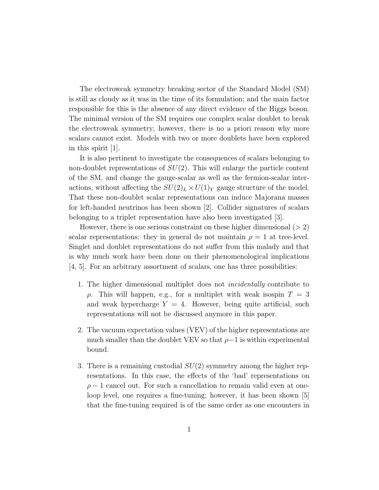The electroweak symmetry breaking sector of the Standard Model (SM) is still as cloudy as it was in the time of its formulation; and the main factor responsible for this is the absence of any direct evidence of the Higgs boson. The minimal version of the SM requires one complex scalar doublet to break the electroweak symmetry; however, there is no a priori reason why more scalars cannot exist. Models with two or more doublets have been explored in this spirit [1].

It is also pertinent to investigate the consequences of scalars belonging to non-doublet representations of  $SU(2)$ . This will enlarge the particle content of the SM, and change the gauge-scalar as well as the fermion-scalar interactions, without affecting the  $SU(2)_L \times U(1)_Y$  gauge structure of the model. That these non-doublet scalar representations can induce Majorana masses for left-handed neutrinos has been shown [2]. Collider signatures of scalars belonging to a triplet representation have also been investigated [3].

However, there is one serious constraint on these higher dimensional  $(2 2)$ scalar representations: they in general do not maintain  $\rho = 1$  at tree-level. Singlet and doublet representations do not suffer from this malady and that is why much work have been done on their phenomenological implications [4, 5]. For an arbitrary assortment of scalars, one has three possibilities:

- 1. The higher dimensional multiplet does not incidentally contribute to  $ρ$ . This will happen, e.g., for a multiplet with weak isospin  $T = 3$ and weak hypercharge  $Y = 4$ . However, being quite artificial, such representations will not be discussed anymore in this paper.
- 2. The vacuum expectation values (VEV) of the higher representations are much smaller than the doublet VEV so that  $\rho-1$  is within experimental bound.
- 3. There is a remaining custodial  $SU(2)$  symmetry among the higher representations. In this case, the effects of the 'bad' representations on  $\rho - 1$  cancel out. For such a cancellation to remain valid even at oneloop level, one requires a fine-tuning; however, it has been shown [5] that the fine-tuning required is of the same order as one encounters in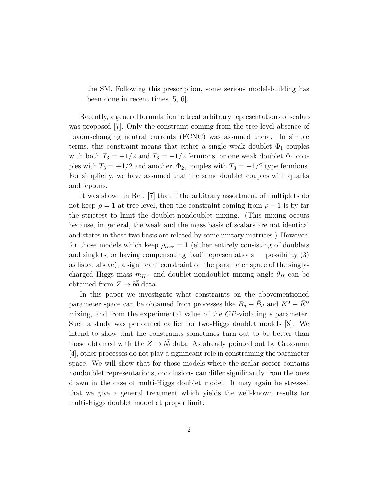the SM. Following this prescription, some serious model-building has been done in recent times [5, 6].

Recently, a general formulation to treat arbitrary representations of scalars was proposed [7]. Only the constraint coming from the tree-level absence of flavour-changing neutral currents (FCNC) was assumed there. In simple terms, this constraint means that either a single weak doublet  $\Phi_1$  couples with both  $T_3 = +1/2$  and  $T_3 = -1/2$  fermions, or one weak doublet  $\Phi_1$  couples with  $T_3 = +1/2$  and another,  $\Phi_2$ , couples with  $T_3 = -1/2$  type fermions. For simplicity, we have assumed that the same doublet couples with quarks and leptons.

It was shown in Ref. [7] that if the arbitrary assortment of multiplets do not keep  $\rho = 1$  at tree-level, then the constraint coming from  $\rho - 1$  is by far the strictest to limit the doublet-nondoublet mixing. (This mixing occurs because, in general, the weak and the mass basis of scalars are not identical and states in these two basis are related by some unitary matrices.) However, for those models which keep  $\rho_{tree} = 1$  (either entirely consisting of doublets and singlets, or having compensating 'bad' representations — possibility (3) as listed above), a significant constraint on the parameter space of the singlycharged Higgs mass  $m_{H^+}$  and doublet-nondoublet mixing angle  $\theta_H$  can be obtained from  $Z \to b\bar{b}$  data.

In this paper we investigate what constraints on the abovementioned parameter space can be obtained from processes like  $B_d - \bar{B}_d$  and  $K^0 - \bar{K}^0$ mixing, and from the experimental value of the CP-violating  $\epsilon$  parameter. Such a study was performed earlier for two-Higgs doublet models [8]. We intend to show that the constraints sometimes turn out to be better than those obtained with the  $Z \to b\bar{b}$  data. As already pointed out by Grossman [4], other processes do not play a significant role in constraining the parameter space. We will show that for those models where the scalar sector contains nondoublet representations, conclusions can differ significantly from the ones drawn in the case of multi-Higgs doublet model. It may again be stressed that we give a general treatment which yields the well-known results for multi-Higgs doublet model at proper limit.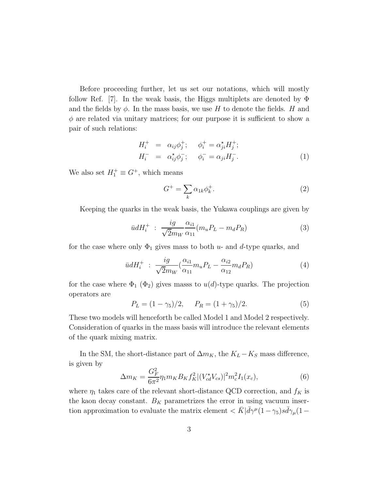Before proceeding further, let us set our notations, which will mostly follow Ref. [7]. In the weak basis, the Higgs multiplets are denoted by  $\Phi$ and the fields by  $\phi$ . In the mass basis, we use H to denote the fields. H and  $\phi$  are related via unitary matrices; for our purpose it is sufficient to show a pair of such relations:

$$
H_i^+ = \alpha_{ij}\phi_j^+; \quad \phi_i^+ = \alpha_{ji}^{\star}H_j^+; H_i^- = \alpha_{ij}^{\star}\phi_j^-; \quad \phi_i^- = \alpha_{ji}H_j^-.
$$
 (1)

We also set  $H_1^+ \equiv G^+$ , which means

$$
G^+ = \sum_k \alpha_{1k} \phi_k^+.
$$
 (2)

Keeping the quarks in the weak basis, the Yukawa couplings are given by

$$
\bar{u}dH_i^+ \; : \; \frac{ig}{\sqrt{2}m_W} \frac{\alpha_{i1}}{\alpha_{11}} (m_u P_L - m_d P_R) \tag{3}
$$

for the case where only  $\Phi_1$  gives mass to both u- and d-type quarks, and

$$
\bar{u}dH_i^+ \; : \; \frac{ig}{\sqrt{2}m_W} \left(\frac{\alpha_{i1}}{\alpha_{11}} m_u P_L - \frac{\alpha_{i2}}{\alpha_{12}} m_d P_R\right) \tag{4}
$$

for the case where  $\Phi_1$  ( $\Phi_2$ ) gives masss to  $u(d)$ -type quarks. The projection operators are

$$
P_L = (1 - \gamma_5)/2, \quad P_R = (1 + \gamma_5)/2. \tag{5}
$$

These two models will henceforth be called Model 1 and Model 2 respectively. Consideration of quarks in the mass basis will introduce the relevant elements of the quark mixing matrix.

In the SM, the short-distance part of  $\Delta m_K$ , the  $K_L - K_S$  mass difference, is given by

$$
\Delta m_K = \frac{G_F^2}{6\pi^2} \eta_1 m_K B_K f_K^2 |(V_{cd}^\star V_{cs})|^2 m_c^2 I_1(x_c),\tag{6}
$$

where  $\eta_1$  takes care of the relevant short-distance QCD correction, and  $f_K$  is the kaon decay constant.  $B_K$  parametrizes the error in using vacuum insertion approximation to evaluate the matrix element  $\langle \bar{K} | \bar{d}\gamma^{\mu} (1-\gamma_5) s \bar{d}\gamma_{\mu} (1-\gamma_6) \rangle$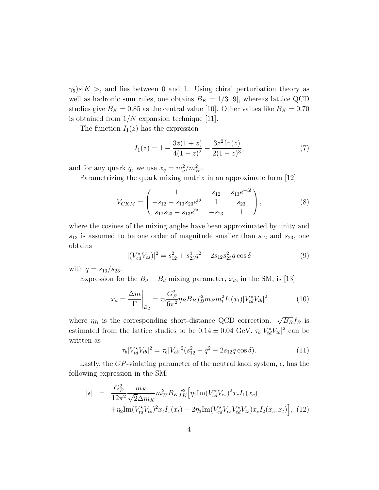$\gamma_5$ )s|K >, and lies between 0 and 1. Using chiral perturbation theory as well as hadronic sum rules, one obtains  $B_K = 1/3$  [9], whereas lattice QCD studies give  $B_K = 0.85$  as the central value [10]. Other values like  $B_K = 0.70$ is obtained from  $1/N$  expansion technique [11].

The function  $I_1(z)$  has the expression

$$
I_1(z) = 1 - \frac{3z(1+z)}{4(1-z)^2} - \frac{3z^2 \ln(z)}{2(1-z)^3},\tag{7}
$$

and for any quark q, we use  $x_q = m_q^2/m_W^2$ .

Parametrizing the quark mixing matrix in an approximate form [12]

$$
V_{CKM} = \begin{pmatrix} 1 & s_{12} & s_{13}e^{-i\delta} \\ -s_{12} - s_{13}s_{23}e^{i\delta} & 1 & s_{23} \\ s_{12}s_{23} - s_{13}e^{i\delta} & -s_{23} & 1 \end{pmatrix},
$$
 (8)

where the cosines of the mixing angles have been approximated by unity and  $s_{13}$  is assumed to be one order of magnitude smaller than  $s_{12}$  and  $s_{23}$ , one obtains

$$
|(V_{cd}^{\star}V_{cs})|^2 = s_{12}^2 + s_{23}^4 q^2 + 2s_{12}s_{23}^2 q \cos \delta
$$
 (9)

with  $q = s_{13}/s_{23}$ .

Expression for the  $B_d - \bar{B}_d$  mixing parameter,  $x_d$ , in the SM, is [13]

$$
x_d = \frac{\Delta m}{\Gamma} \bigg|_{B_d} = \tau_b \frac{G_F^2}{6\pi^2} \eta_B B_B f_B^2 m_B m_t^2 I_1(x_t) |V_{td}^{\star} V_{tb}|^2 \tag{10}
$$

where  $\eta_B$  is the corresponding short-distance QCD correction.  $\sqrt{B_B} f_B$  is estimated from the lattice studies to be  $0.14 \pm 0.04$  GeV.  $\tau_b |V_{td}^{\star} V_{tb}|^2$  can be written as

$$
\tau_b |V_{td}^{\star} V_{tb}|^2 = \tau_b |V_{cb}|^2 (s_{12}^2 + q^2 - 2s_{12}q \cos \delta). \tag{11}
$$

Lastly, the CP-violating parameter of the neutral kaon system,  $\epsilon$ , has the following expression in the SM:

$$
|\epsilon| = \frac{G_F^2}{12\pi^2} \frac{m_K}{\sqrt{2}\Delta m_K} m_W^2 B_K f_K^2 \Big[ \eta_1 \text{Im}(V_{cd}^{\star} V_{cs})^2 x_c I_1(x_c) + \eta_2 \text{Im}(V_{td}^{\star} V_{ts})^2 x_t I_1(x_t) + 2\eta_3 \text{Im}(V_{cd}^{\star} V_{cs}) Y_{td}^{\star} V_{ts}) x_c I_2(x_c, x_t) \Big], \tag{12}
$$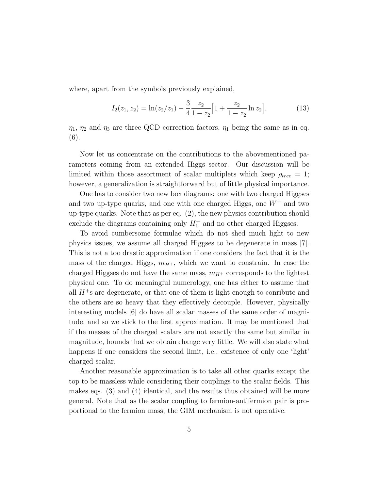where, apart from the symbols previously explained,

$$
I_2(z_1, z_2) = \ln(z_2/z_1) - \frac{3}{4} \frac{z_2}{1 - z_2} \Big[ 1 + \frac{z_2}{1 - z_2} \ln z_2 \Big]. \tag{13}
$$

 $\eta_1$ ,  $\eta_2$  and  $\eta_3$  are three QCD correction factors,  $\eta_1$  being the same as in eq. (6).

Now let us concentrate on the contributions to the abovementioned parameters coming from an extended Higgs sector. Our discussion will be limited within those assortment of scalar multiplets which keep  $\rho_{tree} = 1$ ; however, a generalization is straightforward but of little physical importance.

One has to consider two new box diagrams: one with two charged Higgses and two up-type quarks, and one with one charged Higgs, one  $W^+$  and two up-type quarks. Note that as per eq. (2), the new physics contribution should exclude the diagrams containing only  $H_1^+$  and no other charged Higgses.

To avoid cumbersome formulae which do not shed much light to new physics issues, we assume all charged Higgses to be degenerate in mass [7]. This is not a too drastic approximation if one considers the fact that it is the mass of the charged Higgs,  $m_{H^+}$ , which we want to constrain. In case the charged Higgses do not have the same mass,  $m_{H^+}$  corresponds to the lightest physical one. To do meaningful numerology, one has either to assume that all  $H^+$ s are degenerate, or that one of them is light enough to conribute and the others are so heavy that they effectively decouple. However, physically interesting models [6] do have all scalar masses of the same order of magnitude, and so we stick to the first approximation. It may be mentioned that if the masses of the charged scalars are not exactly the same but similar in magnitude, bounds that we obtain change very little. We will also state what happens if one considers the second limit, i.e., existence of only one 'light' charged scalar.

Another reasonable approximation is to take all other quarks except the top to be massless while considering their couplings to the scalar fields. This makes eqs. (3) and (4) identical, and the results thus obtained will be more general. Note that as the scalar coupling to fermion-antifermion pair is proportional to the fermion mass, the GIM mechanism is not operative.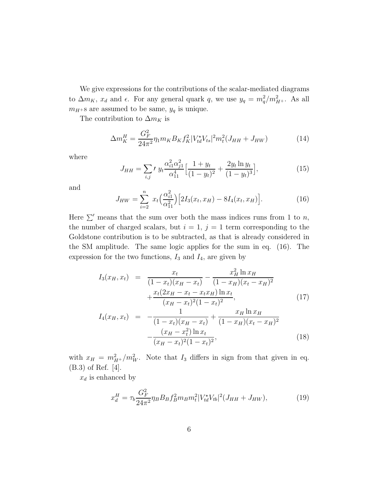We give expressions for the contributions of the scalar-mediated diagrams to  $\Delta m_K$ ,  $x_d$  and  $\epsilon$ . For any general quark q, we use  $y_q = m_q^2/m_{H^+}^2$ . As all  $m_{H^+}{\rm s}$  are assumed to be same,  $y_q$  is unique.

The contribution to  $\Delta m_K$  is

$$
\Delta m_K^H = \frac{G_F^2}{24\pi^2} \eta_1 m_K B_K f_K^2 |V_{td}^{\star} V_{ts}|^2 m_t^2 (J_{HH} + J_{HW}) \tag{14}
$$

where

$$
J_{HH} = \sum_{i,j} t y_t \frac{\alpha_{i1}^2 \alpha_{j1}^2}{\alpha_{11}^4} \Big[ \frac{1+y_t}{(1-y_t)^2} + \frac{2y_t \ln y_t}{(1-y_t)^3} \Big],
$$
(15)

and

$$
J_{HW} = \sum_{i=2}^{n} x_t \left(\frac{\alpha_{i1}^2}{\alpha_{11}^2}\right) \left[2I_3(x_t, x_H) - 8I_4(x_t, x_H)\right].
$$
 (16)

Here  $\Sigma'$  means that the sum over both the mass indices runs from 1 to n, the number of charged scalars, but  $i = 1$ ,  $j = 1$  term corresponding to the Goldstone contribution is to be subtracted, as that is already considered in the SM amplitude. The same logic applies for the sum in eq. (16). The expression for the two functions,  $I_3$  and  $I_4$ , are given by

$$
I_3(x_H, x_t) = \frac{x_t}{(1 - x_t)(x_H - x_t)} - \frac{x_H^2 \ln x_H}{(1 - x_H)(x_t - x_H)^2} + \frac{x_t(2x_H - x_t - x_t x_H) \ln x_t}{(x_H - x_t)^2 (1 - x_t)^2},
$$
(17)

$$
I_4(x_H, x_t) = -\frac{1}{(1 - x_t)(x_H - x_t)} + \frac{x_H \ln x_H}{(1 - x_H)(x_t - x_H)^2} - \frac{(x_H - x_t^2) \ln x_t}{(x_H - x_t)^2 (1 - x_t)^2},
$$
\n(18)

with  $x_H = m_{H^+}^2/m_W^2$ . Note that  $I_3$  differs in sign from that given in eq. (B.3) of Ref. [4].

 $x_d$  is enhanced by

$$
x_d^H = \tau_b \frac{G_F^2}{24\pi^2} \eta_B B_B f_B^2 m_B m_t^2 |V_{td}^{\star} V_{tb}|^2 (J_{HH} + J_{HW}), \tag{19}
$$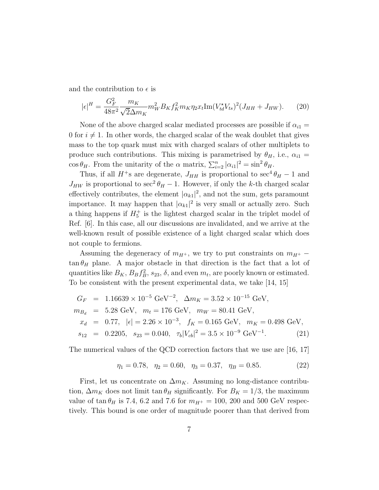and the contribution to  $\epsilon$  is

$$
|\epsilon|^H = \frac{G_F^2}{48\pi^2} \frac{m_K}{\sqrt{2}\Delta m_K} m_W^2 B_K f_K^2 m_K \eta_2 x_t \text{Im}(V_{td}^{\star} V_{ts})^2 (J_{HH} + J_{HW}). \tag{20}
$$

None of the above charged scalar mediated processes are possible if  $\alpha_{i1} =$ 0 for  $i \neq 1$ . In other words, the charged scalar of the weak doublet that gives mass to the top quark must mix with charged scalars of other multiplets to produce such contributions. This mixing is parametrised by  $\theta_H$ , i.e.,  $\alpha_{i1} =$  $\cos \theta_H$ . From the unitarity of the  $\alpha$  matrix,  $\sum_{i=2}^n |\alpha_{i1}|^2 = \sin^2 \theta_H$ .

Thus, if all  $H^+$ s are degenerate,  $J_{HH}$  is proportional to sec<sup>4</sup> $\theta_H$  – 1 and  $J_{HW}$  is proportional to sec<sup>2</sup> $\theta_H - 1$ . However, if only the k-th charged scalar effectively contributes, the element  $|\alpha_{k_1}|^2$ , and not the sum, gets paramount importance. It may happen that  $|\alpha_{k1}|^2$  is very small or actually zero. Such a thing happens if  $H_5^+$  is the lightest charged scalar in the triplet model of Ref. [6]. In this case, all our discussions are invalidated, and we arrive at the well-known result of possible existence of a light charged scalar which does not couple to fermions.

Assuming the degeneracy of  $m_{H^+}$ , we try to put constraints on  $m_{H^+}$  –  $\tan \theta_H$  plane. A major obstacle in that direction is the fact that a lot of quantities like  $B_K$ ,  $B_B f_B^2$ ,  $s_{23}$ ,  $\delta$ , and even  $m_t$ , are poorly known or estimated. To be consistent with the present experimental data, we take [14, 15]

$$
G_F = 1.16639 \times 10^{-5} \text{ GeV}^{-2}, \quad \Delta m_K = 3.52 \times 10^{-15} \text{ GeV},
$$
  
\n
$$
m_{B_d} = 5.28 \text{ GeV}, \quad m_t = 176 \text{ GeV}, \quad m_W = 80.41 \text{ GeV},
$$
  
\n
$$
x_d = 0.77, \quad |\epsilon| = 2.26 \times 10^{-3}, \quad f_K = 0.165 \text{ GeV}, \quad m_K = 0.498 \text{ GeV},
$$
  
\n
$$
s_{12} = 0.2205, \quad s_{23} = 0.040, \quad \tau_b |V_{cb}|^2 = 3.5 \times 10^{-9} \text{ GeV}^{-1}.
$$
 (21)

The numerical values of the QCD correction factors that we use are [16, 17]

$$
\eta_1 = 0.78, \quad \eta_2 = 0.60, \quad \eta_3 = 0.37, \quad \eta_B = 0.85. \tag{22}
$$

First, let us concentrate on  $\Delta m_K$ . Assuming no long-distance contribution,  $\Delta m_K$  does not limit tan  $\theta_H$  significantly. For  $B_K = 1/3$ , the maximum value of  $\tan \theta_H$  is 7.4, 6.2 and 7.6 for  $m_{H^+} = 100$ , 200 and 500 GeV respectively. This bound is one order of magnitude poorer than that derived from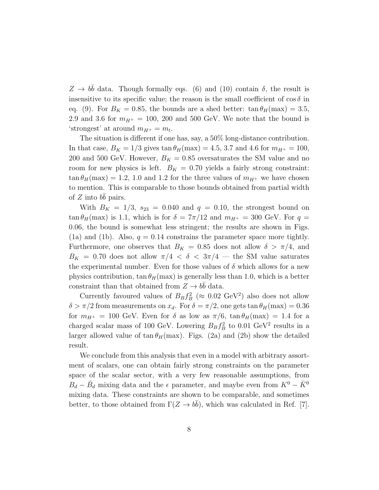$Z \to b\bar{b}$  data. Though formally eqs. (6) and (10) contain  $\delta$ , the result is insensitive to its specific value; the reason is the small coefficient of  $\cos \delta$  in eq. (9). For  $B_K = 0.85$ , the bounds are a shed better:  $\tan \theta_H(\text{max}) = 3.5$ , 2.9 and 3.6 for  $m_{H^+} = 100$ , 200 and 500 GeV. We note that the bound is 'strongest' at around  $m_{H^+} = m_t$ .

The situation is different if one has, say, a 50% long-distance contribution. In that case,  $B_K = 1/3$  gives  $\tan \theta_H(\text{max}) = 4.5, 3.7, \text{and } 4.6 \text{ for } m_{H^+} = 100,$ 200 and 500 GeV. However,  $B_K = 0.85$  oversaturates the SM value and no room for new physics is left.  $B_K = 0.70$  yields a fairly strong constraint:  $\tan \theta_H$  (max) = 1.2, 1.0 and 1.2 for the three values of  $m_{H^+}$  we have chosen to mention. This is comparable to those bounds obtained from partial width of  $Z$  into  $b\bar{b}$  pairs.

With  $B_K = 1/3$ ,  $s_{23} = 0.040$  and  $q = 0.10$ , the strongest bound on  $\tan \theta_H$  (max) is 1.1, which is for  $\delta = 7\pi/12$  and  $m_{H^+} = 300$  GeV. For  $q =$ 0.06, the bound is somewhat less stringent; the results are shown in Figs. (1a) and (1b). Also,  $q = 0.14$  constrains the parameter space more tightly. Furthermore, one observes that  $B_K = 0.85$  does not allow  $\delta > \pi/4$ , and  $B_K = 0.70$  does not allow  $\pi/4 < \delta < 3\pi/4$  — the SM value saturates the experimental number. Even for those values of  $\delta$  which allows for a new physics contribution,  $\tan \theta_H(\text{max})$  is generally less than 1.0, which is a better constraint than that obtained from  $Z \rightarrow b\bar{b}$  data.

Currently favoured values of  $B_B f_B^2$  ( $\approx 0.02 \text{ GeV}^2$ ) also does not allow  $\delta > \pi/2$  from measurements on  $x_d$ . For  $\delta = \pi/2$ , one gets tan  $\theta_H$ (max) = 0.36 for  $m_{H^+} = 100$  GeV. Even for  $\delta$  as low as  $\pi/6$ ,  $\tan \theta_H$ (max) = 1.4 for a charged scalar mass of 100 GeV. Lowering  $B_B f_B^2$  to 0.01 GeV<sup>2</sup> results in a larger allowed value of  $\tan \theta_H$ (max). Figs. (2a) and (2b) show the detailed result.

We conclude from this analysis that even in a model with arbitrary assortment of scalars, one can obtain fairly strong constraints on the parameter space of the scalar sector, with a very few reasonable assumptions, from  $B_d - \bar{B}_d$  mixing data and the  $\epsilon$  parameter, and maybe even from  $K^0 - \bar{K}^0$ mixing data. These constraints are shown to be comparable, and sometimes better, to those obtained from  $\Gamma(Z \to b\bar{b})$ , which was calculated in Ref. [7].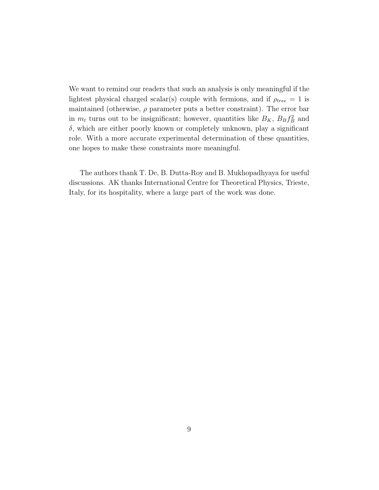We want to remind our readers that such an analysis is only meaningful if the lightest physical charged scalar(s) couple with fermions, and if  $\rho_{tree} = 1$  is maintained (otherwise,  $\rho$  parameter puts a better constraint). The error bar in  $m_t$  turns out to be insignificant; however, quantities like  $B_K$ ,  $B_B f_B^2$  and  $\delta$ , which are either poorly known or completely unknown, play a significant role. With a more accurate experimental determination of these quantities, one hopes to make these constraints more meaningful.

The authors thank T. De, B. Dutta-Roy and B. Mukhopadhyaya for useful discussions. AK thanks International Centre for Theoretical Physics, Trieste, Italy, for its hospitality, where a large part of the work was done.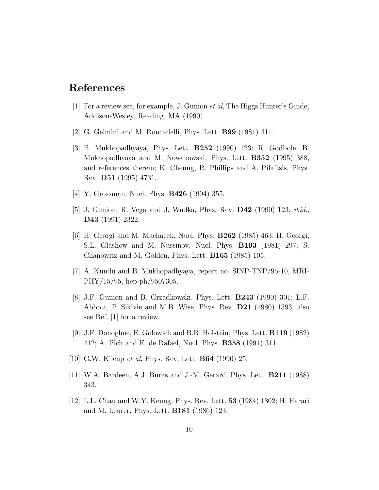## References

- [1] For a review see, for example, J. Gunion et al, The Higgs Hunter's Guide, Addison-Wesley, Reading, MA (1990).
- [2] G. Gelmini and M. Roncadelli, Phys. Lett. B99 (1981) 411.
- [3] B. Mukhopadhyaya, Phys. Lett. B252 (1990) 123; R. Godbole, B. Mukhopadhyaya and M. Nowakowski, Phys. Lett. B352 (1995) 388, and references therein; K. Cheung, R. Phillips and A. Pilaftsis, Phys. Rev. D51 (1995) 4731.
- [4] Y. Grossman, Nucl. Phys. B426 (1994) 355.
- [5] J. Gunion, R. Vega and J. Wudka, Phys. Rev.  $\mathbf{D42}$  (1990) 123; *ibid.*, D43 (1991) 2322.
- [6] H. Georgi and M. Machacek, Nucl. Phys. B262 (1985) 463; H. Georgi, S.L. Glashow and M. Nussinov, Nucl. Phys. B193 (1981) 297; S. Chanowitz and M. Golden, Phys. Lett. B165 (1985) 105.
- [7] A. Kundu and B. Mukhopadhyaya, report no. SINP-TNP/95-10, MRI-PHY/15/95, hep-ph/9507305.
- [8] J.F. Gunion and B. Grzadkowski, Phys. Lett. B243 (1990) 301; L.F. Abbott, P. Sikivie and M.B. Wise, Phys. Rev. D21 (1980) 1393; also see Ref. [1] for a review.
- [9] J.F. Donoghue, E. Golowich and B.R. Holstein, Phys. Lett. B119 (1982) 412; A. Pich and E. de Rafael, Nucl. Phys. B358 (1991) 311.
- [10] G.W. Kilcup *et al*, Phys. Rev. Lett. **B64** (1990) 25.
- [11] W.A. Bardeen, A.J. Buras and J.-M. Gerard, Phys. Lett. B211 (1988) 343.
- [12] L.L. Chau and W.Y. Keung, Phys. Rev. Lett. 53 (1984) 1802; H. Harari and M. Leurer, Phys. Lett. B181 (1986) 123.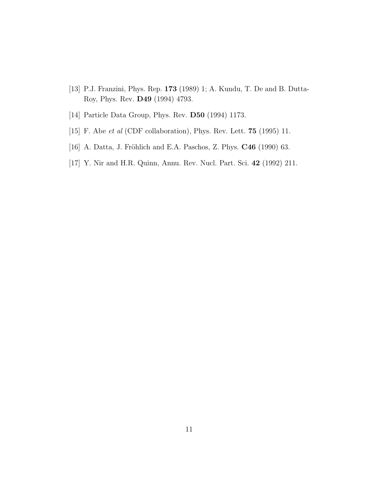- [13] P.J. Franzini, Phys. Rep. 173 (1989) 1; A. Kundu, T. De and B. Dutta-Roy, Phys. Rev. D49 (1994) 4793.
- [14] Particle Data Group, Phys. Rev. **D50** (1994) 1173.
- [15] F. Abe et al (CDF collaboration), Phys. Rev. Lett. **75** (1995) 11.
- [16] A. Datta, J. Fröhlich and E.A. Paschos, Z. Phys.  $C46$  (1990) 63.
- [17] Y. Nir and H.R. Quinn, Annu. Rev. Nucl. Part. Sci. 42 (1992) 211.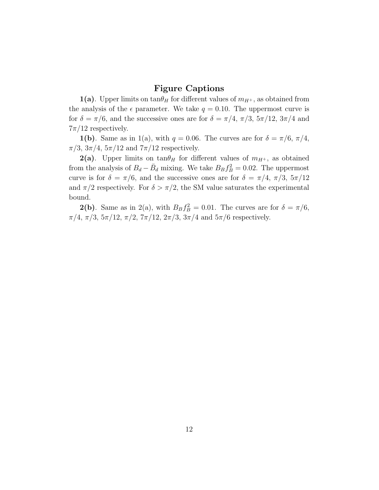## Figure Captions

**1(a)**. Upper limits on  $\tan\theta_H$  for different values of  $m_{H^+}$ , as obtained from the analysis of the  $\epsilon$  parameter. We take  $q = 0.10$ . The uppermost curve is for  $\delta = \pi/6$ , and the successive ones are for  $\delta = \pi/4$ ,  $\pi/3$ ,  $5\pi/12$ ,  $3\pi/4$  and  $7\pi/12$  respectively.

**1(b)**. Same as in 1(a), with  $q = 0.06$ . The curves are for  $\delta = \pi/6, \pi/4$ ,  $\pi/3$ ,  $3\pi/4$ ,  $5\pi/12$  and  $7\pi/12$  respectively.

**2(a)**. Upper limits on  $tan\theta_H$  for different values of  $m_{H^+}$ , as obtained from the analysis of  $B_d - \bar{B}_d$  mixing. We take  $B_B f_B^2 = 0.02$ . The uppermost curve is for  $\delta = \pi/6$ , and the successive ones are for  $\delta = \pi/4$ ,  $\pi/3$ ,  $5\pi/12$ and  $\pi/2$  respectively. For  $\delta > \pi/2$ , the SM value saturates the experimental bound.

**2(b)**. Same as in 2(a), with  $B_B f_B^2 = 0.01$ . The curves are for  $\delta = \pi/6$ ,  $\pi/4$ ,  $\pi/3$ ,  $5\pi/12$ ,  $\pi/2$ ,  $7\pi/12$ ,  $2\pi/3$ ,  $3\pi/4$  and  $5\pi/6$  respectively.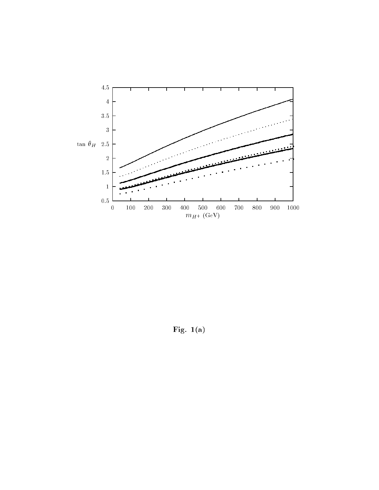

Fig.  $1(a)$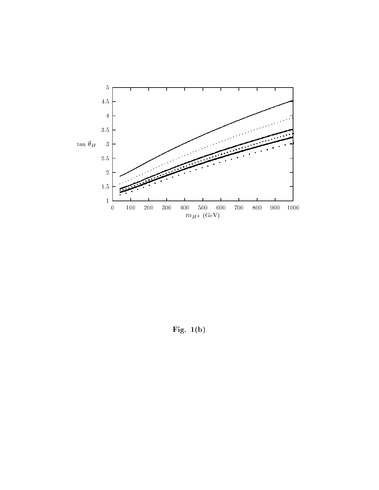

Fig.  $1(b)$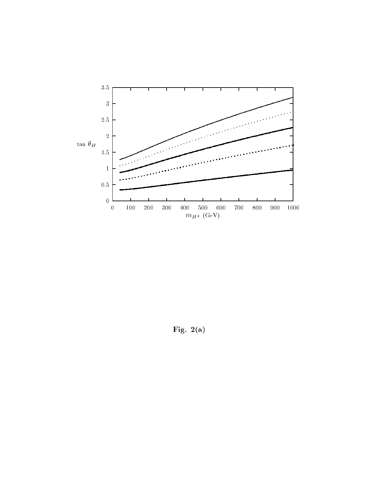

Fig.  $2(a)$